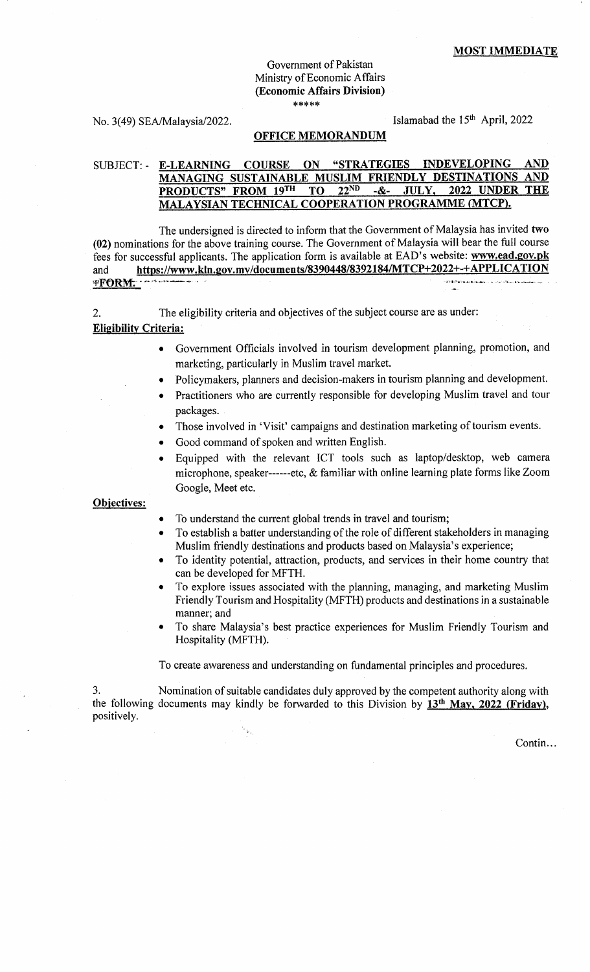## Government of Pakistan Ministry of Economic Affairs (Economic Affairs Division)  $*****$

No. 3(49) SEA/Malaysia/2022. Islamabad the 15<sup>th</sup> April, 2022

#### OFFICE MEMORANDUM

# SUBJECT: - E-LEARNING COURSE ON "STRATEGIES INDEVELOPING AND MANAGING SUSTAINABLE MUSLIM FRIENDLY DESTINATIONS AND PRODUCTS" FROM 19TH TO 22ND -&- JULY, 2022 UNDER THE PRODUCTS" FROM 19<sup>TH</sup> TO 22<sup>ND</sup> -&- JULY, MALAYSIAN TECHNICAL COOPERATION PROGRAMME (MTCP).

The undersigned is directed to inform that the Government of Malaysia has invited two (02) nominations for the above training course. The Government of Malaysia will bear the full course fees for successful applicants. The application form is available at EAD's website: www.ead.gov.pk and https://www.kln.gov.my/documents/8390448/8392184/MTCP+2022+-+APPLICATION +FORIvt- /1-n..'btu.- . - 1r.i..".a...b- i..r.,1.! r\.kd!<.e .

2. The eligibility criteria and objectives of the subject course are as under: **Eligibility Criteria:** 

- o Government Officials involved in tourism development planning, promotion, and marketing, particularly in Muslim travel market.
- Policymakers, planners and decision-makers in tourism planning and development.
- Practitioners who are currently responsible for developing Muslim travel and tour packages.
- Those involved in 'Visit' campaigns and destination marketing of tourism events.
- . Good command of spoken and written English.
- . Equipped with the relevant ICT tools such as laptop/desktop, web camera microphone, speaker------etc, & familiar with online learning plate forms like Zoom Google, Meet etc.

## Obiectives:

- To understand the current global trends in travel and tourism;
- To establish a batter understanding of the role of different stakeholders in managing Muslim friendly destinations and products based on Malaysia's experience;
- To identity potential, attraction, products, and services in their home country that can be developed for MFTH.
- To explore issues associated with the planning, managing, and marketing Muslim Friendly Tourism and Hospitality (MFTH) products and destinations in a sustainable manner; and
- To share Malaysia's best practice experiences for Muslim Friendly Tourism and Hospitality (MFTH).

To create awareness and understanding on fundamental principles and procedures.

3. Nomination of suitable candidates duly approved by the competent authority along with the following documents may kindly be forwarded to this Division by  $13<sup>th</sup>$  May, 2022 (Friday), positively.

 $\mathbf{v}_{\mathbf{v}_i}$ 

Contin...